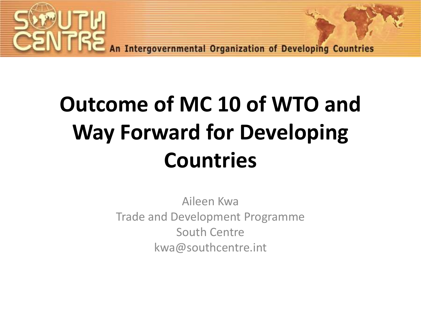

An Intergovernmental Organization of Developing Countries

# **Outcome of MC 10 of WTO and Way Forward for Developing Countries**

Aileen Kwa Trade and Development Programme South Centre kwa@southcentre.int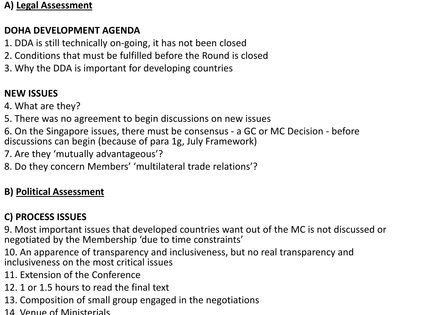#### **A) Legal Assessment**

#### **DOHA DEVELOPMENT AGENDA**

- 1. DDA is still technically on-going, it has not been closed
- 2. Conditions that must be fulfilled before the Round is closed
- 3. Why the DDA is important for developing countries

#### **NEW ISSUES**

4. What are they?

5. There was no agreement to begin discussions on new issues

6. On the Singapore issues, there must be consensus - a GC or MC Decision - before discussions can begin (because of para 1g, July Framework)

7. Are they 'mutually advantageous'?

8. Do they concern Members' 'multilateral trade relations'?

#### **B) Political Assessment**

#### **C) PROCESS ISSUES**

9. Most important issues that developed countries want out of the MC is not discussed or negotiated by the Membership 'due to time constraints'

10. An apparence of transparency and inclusiveness, but no real transparency and inclusiveness on the most critical issues

- 11. Extension of the Conference
- 12. 1 or 1.5 hours to read the final text
- 13. Composition of small group engaged in the negotiations
- 14. Venue of Ministerials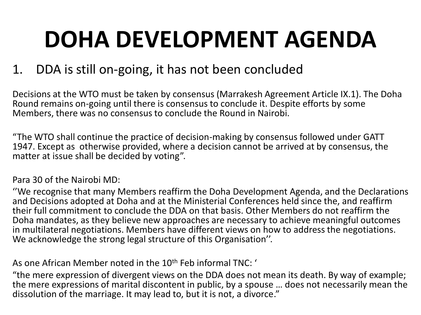# **DOHA DEVELOPMENT AGENDA**

### 1. DDA is still on-going, it has not been concluded

Decisions at the WTO must be taken by consensus (Marrakesh Agreement Article IX.1). The Doha Round remains on-going until there is consensus to conclude it. Despite efforts by some Members, there was no consensus to conclude the Round in Nairobi.

"The WTO shall continue the practice of decision-making by consensus followed under GATT 1947. Except as otherwise provided, where a decision cannot be arrived at by consensus, the matter at issue shall be decided by voting".

#### Para 30 of the Nairobi MD:

''We recognise that many Members reaffirm the Doha Development Agenda, and the Declarations and Decisions adopted at Doha and at the Ministerial Conferences held since the, and reaffirm their full commitment to conclude the DDA on that basis. Other Members do not reaffirm the Doha mandates, as they believe new approaches are necessary to achieve meaningful outcomes in multilateral negotiations. Members have different views on how to address the negotiations. We acknowledge the strong legal structure of this Organisation''.

As one African Member noted in the 10<sup>th</sup> Feb informal TNC: '

"the mere expression of divergent views on the DDA does not mean its death. By way of example; the mere expressions of marital discontent in public, by a spouse … does not necessarily mean the dissolution of the marriage. It may lead to, but it is not, a divorce."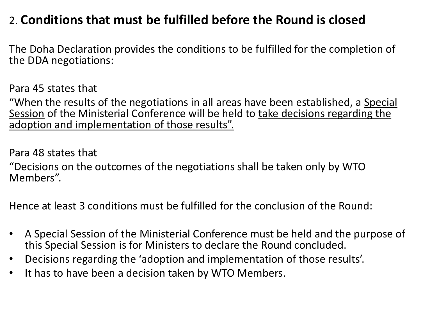### 2. **Conditions that must be fulfilled before the Round is closed**

The Doha Declaration provides the conditions to be fulfilled for the completion of the DDA negotiations:

Para 45 states that

"When the results of the negotiations in all areas have been established, a Special Session of the Ministerial Conference will be held to take decisions regarding the adoption and implementation of those results".

Para 48 states that

"Decisions on the outcomes of the negotiations shall be taken only by WTO Members".

Hence at least 3 conditions must be fulfilled for the conclusion of the Round:

- A Special Session of the Ministerial Conference must be held and the purpose of this Special Session is for Ministers to declare the Round concluded.
- Decisions regarding the 'adoption and implementation of those results'.
- It has to have been a decision taken by WTO Members.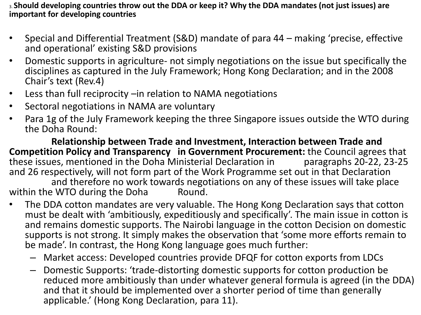3. **Should developing countries throw out the DDA or keep it? Why the DDA mandates (not just issues) are important for developing countries**

- Special and Differential Treatment (S&D) mandate of para 44 making 'precise, effective and operational' existing S&D provisions
- Domestic supports in agriculture- not simply negotiations on the issue but specifically the disciplines as captured in the July Framework; Hong Kong Declaration; and in the 2008 Chair's text (Rev.4)
- Less than full reciprocity –in relation to NAMA negotiations
- Sectoral negotiations in NAMA are voluntary
- Para 1g of the July Framework keeping the three Singapore issues outside the WTO during the Doha Round:

**Relationship between Trade and Investment, Interaction between Trade and Competition Policy and Transparency in Government Procurement:** the Council agrees that these issues, mentioned in the Doha Ministerial Declaration in paragraphs 20-22, 23-25 these issues, mentioned in the Doha Ministerial Declaration in and 26 respectively, will not form part of the Work Programme set out in that Declaration

and therefore no work towards negotiations on any of these issues will take place<br>WTO during the Doha Round within the WTO during the Doha

- The DDA cotton mandates are very valuable. The Hong Kong Declaration says that cotton must be dealt with 'ambitiously, expeditiously and specifically'. The main issue in cotton is and remains domestic supports. The Nairobi language in the cotton Decision on domestic supports is not strong. It simply makes the observation that 'some more efforts remain to be made'. In contrast, the Hong Kong language goes much further:
	- Market access: Developed countries provide DFQF for cotton exports from LDCs
	- Domestic Supports: 'trade-distorting domestic supports for cotton production be reduced more ambitiously than under whatever general formula is agreed (in the DDA) and that it should be implemented over a shorter period of time than generally applicable.' (Hong Kong Declaration, para 11).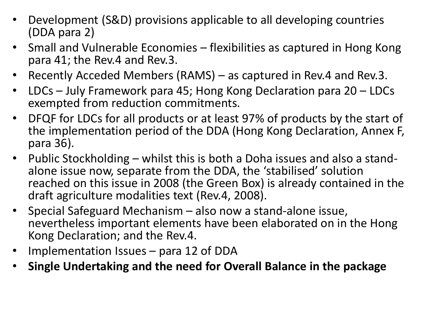- Development (S&D) provisions applicable to all developing countries (DDA para 2)
- Small and Vulnerable Economies flexibilities as captured in Hong Kong para 41; the Rev.4 and Rev.3.
- Recently Acceded Members (RAMS) as captured in Rev.4 and Rev.3.
- LDCs July Framework para 45; Hong Kong Declaration para 20 LDCs exempted from reduction commitments.
- DFQF for LDCs for all products or at least 97% of products by the start of the implementation period of the DDA (Hong Kong Declaration, Annex F, para 36).
- Public Stockholding whilst this is both a Doha issues and also a standalone issue now, separate from the DDA, the 'stabilised' solution reached on this issue in 2008 (the Green Box) is already contained in the draft agriculture modalities text (Rev.4, 2008).
- Special Safeguard Mechanism also now a stand-alone issue, nevertheless important elements have been elaborated on in the Hong Kong Declaration; and the Rev.4.
- Implementation Issues para 12 of DDA
- **Single Undertaking and the need for Overall Balance in the package**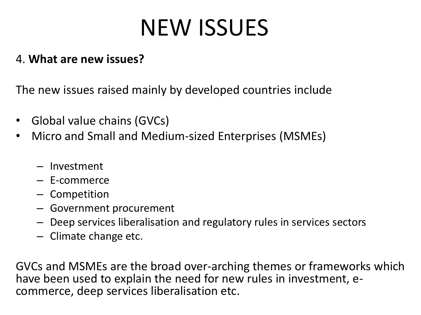# NEW ISSUES

### 4. **What are new issues?**

The new issues raised mainly by developed countries include

- Global value chains (GVCs)
- Micro and Small and Medium-sized Enterprises (MSMEs)
	- Investment
	- E-commerce
	- Competition
	- Government procurement
	- Deep services liberalisation and regulatory rules in services sectors
	- Climate change etc.

GVCs and MSMEs are the broad over-arching themes or frameworks which have been used to explain the need for new rules in investment, ecommerce, deep services liberalisation etc.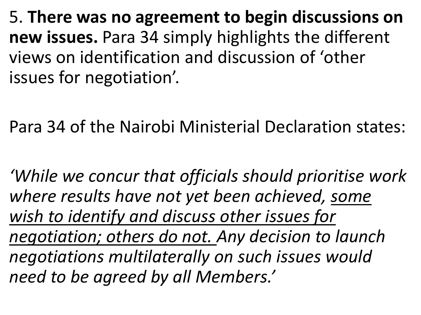5. **There was no agreement to begin discussions on new issues.** Para 34 simply highlights the different views on identification and discussion of 'other issues for negotiation'.

Para 34 of the Nairobi Ministerial Declaration states:

*'While we concur that officials should prioritise work where results have not yet been achieved, some wish to identify and discuss other issues for negotiation; others do not. Any decision to launch negotiations multilaterally on such issues would need to be agreed by all Members.'*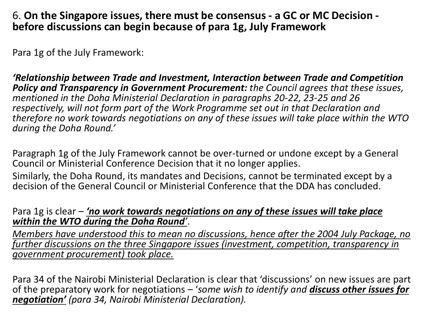#### 6. **On the Singapore issues, there must be consensus - a GC or MC Decision before discussions can begin because of para 1g, July Framework**

Para 1g of the July Framework:

*'Relationship between Trade and Investment, Interaction between Trade and Competition Policy and Transparency in Government Procurement: the Council agrees that these issues, mentioned in the Doha Ministerial Declaration in paragraphs 20-22, 23-25 and 26 respectively, will not form part of the Work Programme set out in that Declaration and therefore no work towards negotiations on any of these issues will take place within the WTO during the Doha Round.'*

Paragraph 1g of the July Framework cannot be over-turned or undone except by a General Council or Ministerial Conference Decision that it no longer applies.

Similarly, the Doha Round, its mandates and Decisions, cannot be terminated except by a decision of the General Council or Ministerial Conference that the DDA has concluded.

#### Para 1g is clear – *'no work towards negotiations on any of these issues will take place within the WTO during the Doha Round'*.

*Members have understood this to mean no discussions, hence after the 2004 July Package, no further discussions on the three Singapore issues (investment, competition, transparency in government procurement) took place.* 

Para 34 of the Nairobi Ministerial Declaration is clear that 'discussions' on new issues are part of the preparatory work for negotiations – '*some wish to identify and discuss other issues for negotiation' (para 34, Nairobi Ministerial Declaration).*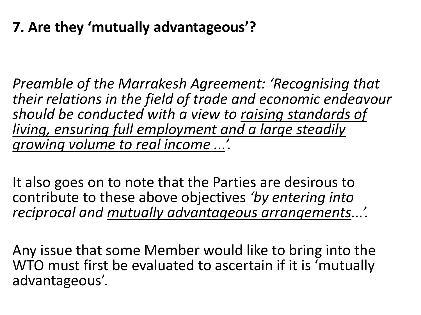### **7. Are they 'mutually advantageous'?**

*Preamble of the Marrakesh Agreement: 'Recognising that their relations in the field of trade and economic endeavour should be conducted with a view to raising standards of living, ensuring full employment and a large steadily growing volume to real income ...'.*

It also goes on to note that the Parties are desirous to contribute to these above objectives *'by entering into reciprocal and mutually advantageous arrangements...'.* 

Any issue that some Member would like to bring into the WTO must first be evaluated to ascertain if it is 'mutually advantageous'.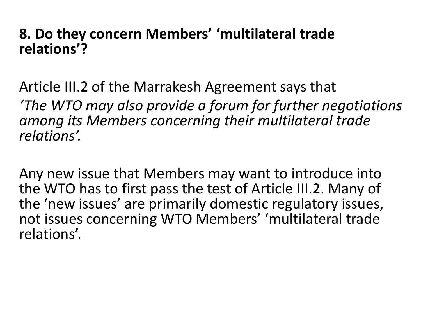### **8. Do they concern Members' 'multilateral trade relations'?**

Article III.2 of the Marrakesh Agreement says that *'The WTO may also provide a forum for further negotiations among its Members concerning their multilateral trade relations'.* 

Any new issue that Members may want to introduce into the WTO has to first pass the test of Article III.2. Many of the 'new issues' are primarily domestic regulatory issues, not issues concerning WTO Members' 'multilateral trade relations'.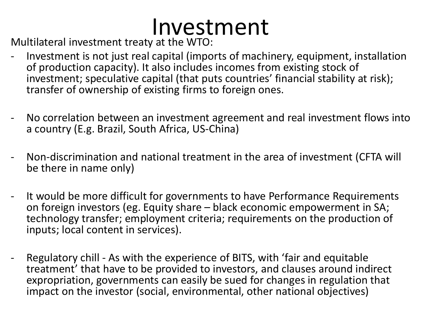## Investment

Multilateral investment treaty at the WTO:

- Investment is not just real capital (imports of machinery, equipment, installation of production capacity). It also includes incomes from existing stock of investment; speculative capital (that puts countries' financial stability at risk); transfer of ownership of existing firms to foreign ones.
- No correlation between an investment agreement and real investment flows into a country (E.g. Brazil, South Africa, US-China)
- Non-discrimination and national treatment in the area of investment (CFTA will be there in name only)
- It would be more difficult for governments to have Performance Requirements on foreign investors (eg. Equity share – black economic empowerment in SA; technology transfer; employment criteria; requirements on the production of inputs; local content in services).
- Regulatory chill As with the experience of BITS, with 'fair and equitable treatment' that have to be provided to investors, and clauses around indirect expropriation, governments can easily be sued for changes in regulation that impact on the investor (social, environmental, other national objectives)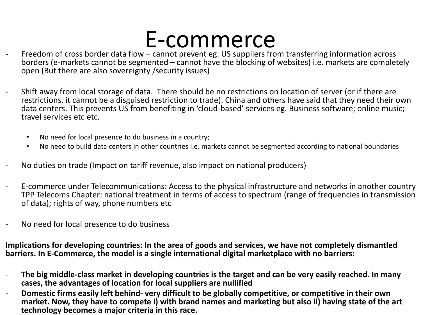- $E$ -COMMerce  $C$ <br>Freedom of cross border data flow cannot prevent eg. US suppliers from transferring information across borders (e-markets cannot be segmented – cannot have the blocking of websites) i.e. markets are completely open (But there are also sovereignty /security issues)
- Shift away from local storage of data. There should be no restrictions on location of server (or if there are restrictions, it cannot be a disguised restriction to trade). China and others have said that they need their own data centers. This prevents US from benefiting in 'cloud-based' services eg. Business software; online music; travel services etc etc.
	- No need for local presence to do business in a country;
	- No need to build data centers in other countries i.e. markets cannot be segmented according to national boundaries
- No duties on trade (Impact on tariff revenue, also impact on national producers)
- E-commerce under Telecommunications: Access to the physical infrastructure and networks in another country TPP Telecoms Chapter: national treatment in terms of access to spectrum (range of frequencies in transmission of data); rights of way, phone numbers etc
- No need for local presence to do business

**Implications for developing countries: In the area of goods and services, we have not completely dismantled barriers. In E-Commerce, the model is a single international digital marketplace with no barriers:** 

- **The big middle-class market in developing countries is the target and can be very easily reached. In many cases, the advantages of location for local suppliers are nullified**
- **Domestic firms easily left behind- very difficult to be globally competitive, or competitive in their own market. Now, they have to compete i) with brand names and marketing but also ii) having state of the art technology becomes a major criteria in this race.**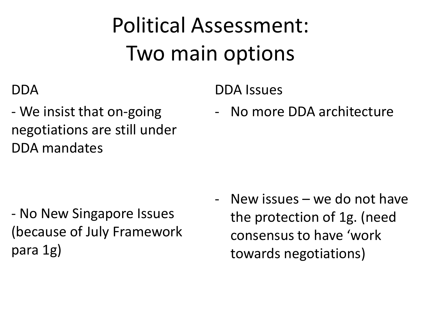# Political Assessment: Two main options

DDA Issues

### DDA

- We insist that on-going negotiations are still under DDA mandates

- No New Singapore Issues (because of July Framework para 1g)

- New issues – we do not have the protection of 1g. (need consensus to have 'work towards negotiations)

- No more DDA architecture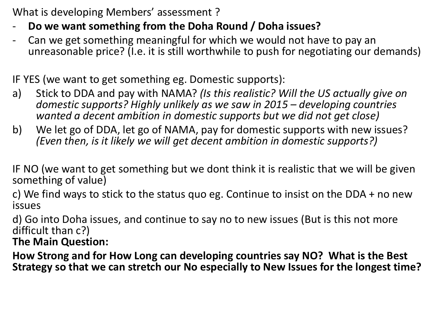What is developing Members' assessment ?

- **Do we want something from the Doha Round / Doha issues?**
- Can we get something meaningful for which we would not have to pay an unreasonable price? (I.e. it is still worthwhile to push for negotiating our demands)

IF YES (we want to get something eg. Domestic supports):

- a) Stick to DDA and pay with NAMA? *(Is this realistic? Will the US actually give on domestic supports? Highly unlikely as we saw in 2015 – developing countries wanted a decent ambition in domestic supports but we did not get close)*
- b) We let go of DDA, let go of NAMA, pay for domestic supports with new issues? *(Even then, is it likely we will get decent ambition in domestic supports?)*

IF NO (we want to get something but we dont think it is realistic that we will be given something of value)

c) We find ways to stick to the status quo eg. Continue to insist on the DDA + no new issues

d) Go into Doha issues, and continue to say no to new issues (But is this not more difficult than c?)

**The Main Question:** 

**How Strong and for How Long can developing countries say NO? What is the Best Strategy so that we can stretch our No especially to New Issues for the longest time?**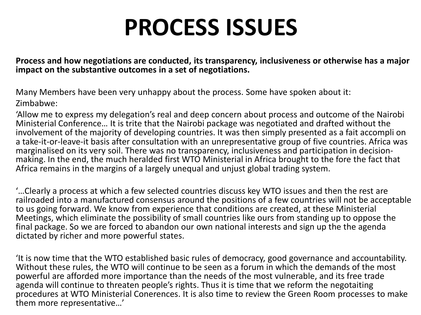# **PROCESS ISSUES**

**Process and how negotiations are conducted, its transparency, inclusiveness or otherwise has a major impact on the substantive outcomes in a set of negotiations.** 

Many Members have been very unhappy about the process. Some have spoken about it: Zimbabwe:

'Allow me to express my delegation's real and deep concern about process and outcome of the Nairobi Ministerial Conference… It is trite that the Nairobi package was negotiated and drafted without the involvement of the majority of developing countries. It was then simply presented as a fait accompli on a take-it-or-leave-it basis after consultation with an unrepresentative group of five countries. Africa was marginalised on its very soil. There was no transparency, inclusiveness and participation in decisionmaking. In the end, the much heralded first WTO Ministerial in Africa brought to the fore the fact that Africa remains in the margins of a largely unequal and unjust global trading system.

'…Clearly a process at which a few selected countries discuss key WTO issues and then the rest are railroaded into a manufactured consensus around the positions of a few countries will not be acceptable to us going forward. We know from experience that conditions are created, at these Ministerial Meetings, which eliminate the possibility of small countries like ours from standing up to oppose the final package. So we are forced to abandon our own national interests and sign up the the agenda dictated by richer and more powerful states.

'It is now time that the WTO established basic rules of democracy, good governance and accountability. Without these rules, the WTO will continue to be seen as a forum in which the demands of the most powerful are afforded more importance than the needs of the most vulnerable, and its free trade agenda will continue to threaten people's rights. Thus it is time that we reform the negotaiting procedures at WTO Ministerial Conerences. It is also time to review the Green Room processes to make them more representative…'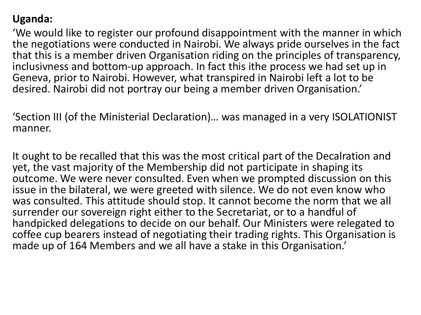#### **Uganda:**

'We would like to register our profound disappointment with the manner in which the negotiations were conducted in Nairobi. We always pride ourselves in the fact that this is a member driven Organisation riding on the principles of transparency, inclusivness and bottom-up approach. In fact this ithe process we had set up in Geneva, prior to Nairobi. However, what transpired in Nairobi left a lot to be desired. Nairobi did not portray our being a member driven Organisation.'

'Section III (of the Ministerial Declaration)… was managed in a very ISOLATIONIST manner.

It ought to be recalled that this was the most critical part of the Decalration and yet, the vast majority of the Membership did not participate in shaping its outcome. We were never consulted. Even when we prompted discussion on this issue in the bilateral, we were greeted with silence. We do not even know who was consulted. This attitude should stop. It cannot become the norm that we all surrender our sovereign right either to the Secretariat, or to a handful of handpicked delegations to decide on our behalf. Our Ministers were relegated to coffee cup bearers instead of negotiating their trading rights. This Organisation is made up of 164 Members and we all have a stake in this Organisation.'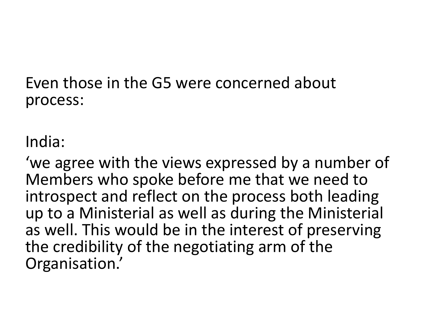Even those in the G5 were concerned about process:

India:

'we agree with the views expressed by a number of Members who spoke before me that we need to introspect and reflect on the process both leading up to a Ministerial as well as during the Ministerial as well. This would be in the interest of preserving the credibility of the negotiating arm of the Organisation.'